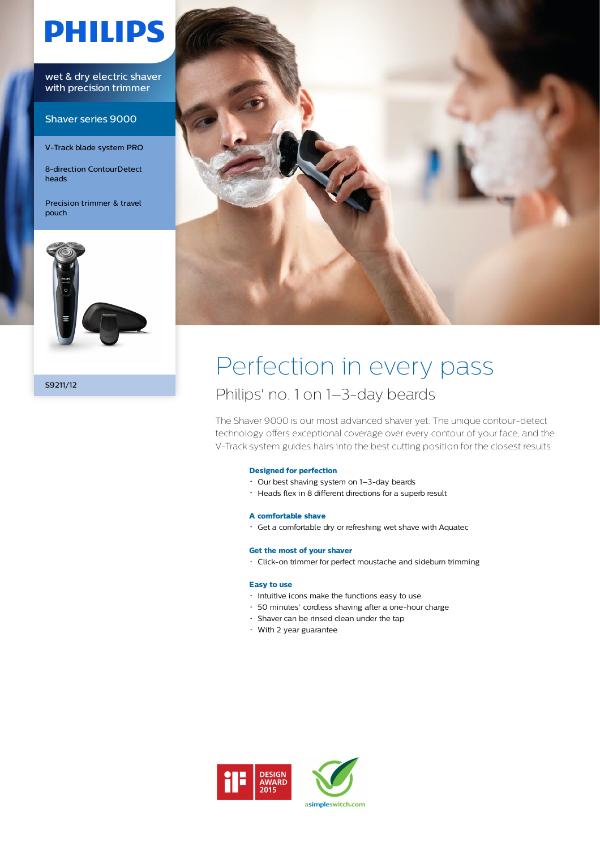# **PHILIPS**

wet & dry electric shaver with precision trimmer

Shaver series 9000

V-Track blade system PRO

8-direction ContourDetect heads

Precision trimmer & travel pouch



S9211/12



# Perfection in every pass Philips' no. 1 on 1–3-day beards

The Shaver 9000 is our most advanced shaver yet. The unique contour-detect technology offers exceptional coverage over every contour of your face, and the V-Track system guides hairs into the best cutting position for the closest results.

# **Designed for perfection**

- Our best shaving system on 1–3-day beards
- Heads flex in 8 different directions for a superb result

### **A comfortable shave**

Get a comfortable dry or refreshing wet shave with Aquatec

### **Get the most of your shaver**

• Click-on trimmer for perfect moustache and sideburn trimming

#### **Easy to use**

- $\cdot$  Intuitive icons make the functions easy to use
- 50 minutes' cordless shaving after a one-hour charge
- Shaver can be rinsed clean under the tap
- With 2 year guarantee



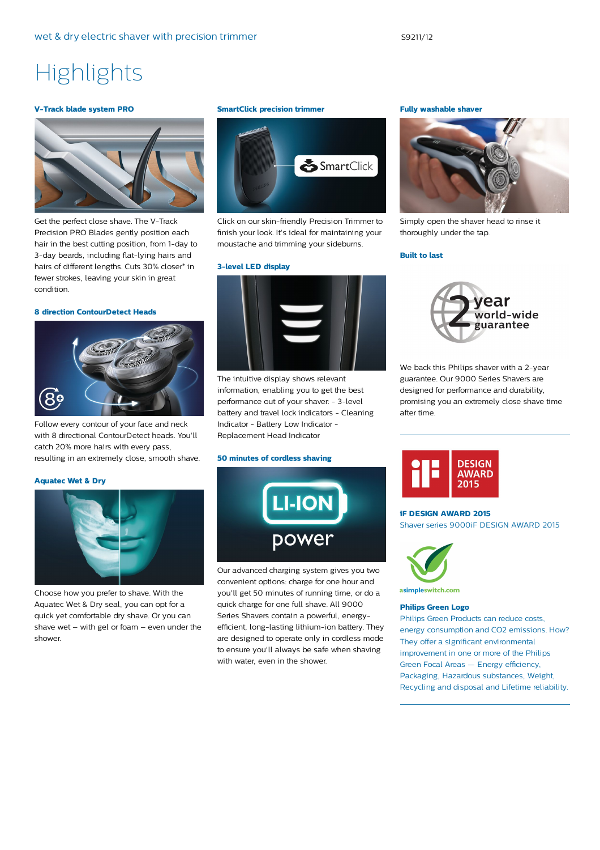# **Highlights**

#### **V-Track blade system PRO**



Get the perfect close shave. The V-Track Precision PRO Blades gently position each hair in the best cutting position, from 1-day to 3-day beards, including flat-lying hairs and hairs of different lengths. Cuts 30% closer\* in fewer strokes, leaving your skin in great condition.

#### **8 direction ContourDetect Heads**



Follow every contour of your face and neck with 8 directional ContourDetect heads. You'll catch 20% more hairs with every pass, resulting in an extremely close, smooth shave.

#### **Aquatec Wet & Dry**



Choose how you prefer to shave. With the Aquatec Wet & Dry seal, you can opt for a quick yet comfortable dry shave. Or you can shave wet – with gel or foam – even under the shower.

#### **SmartClick precision trimmer**



Click on our skin-friendly Precision Trimmer to finish your look. It's ideal for maintaining your moustache and trimming your sideburns.

#### **3-level LED display**



The intuitive display shows relevant information, enabling you to get the best performance out of your shaver: - 3-level battery and travel lock indicators - Cleaning Indicator - Battery Low Indicator - Replacement Head Indicator

#### **50 minutes of cordless shaving**



Our advanced charging system gives you two convenient options: charge for one hour and you'll get 50 minutes of running time, or do a quick charge for one full shave. All 9000 Series Shavers contain a powerful, energyefficient, long-lasting lithium-ion battery. They are designed to operate only in cordless mode to ensure you'll always be safe when shaving with water, even in the shower.

# **Fully washable shaver**



Simply open the shaver head to rinse it thoroughly under the tap.

#### **Built to last**



We back this Philips shaver with a 2-year guarantee. Our 9000 Series Shavers are designed for performance and durability, promising you an extremely close shave time after time.



#### **iF DESIGN AWARD 2015**

Shaver series 9000iF DESIGN AWARD 2015



asimpleswitch.com

#### **Philips Green Logo**

Philips Green Products can reduce costs, energy consumption and CO2 emissions. How? They offer a significant environmental improvement in one or more of the Philips Green Focal Areas — Energy efficiency, Packaging, Hazardous substances, Weight, Recycling and disposal and Lifetime reliability.